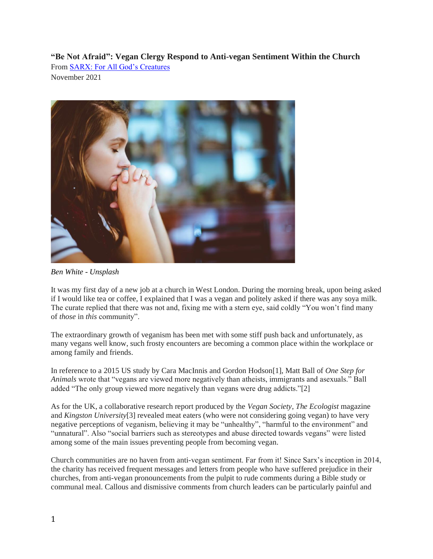**"Be Not Afraid": Vegan Clergy Respond to Anti-vegan Sentiment Within the Church** From [SARX: For All God's Creatures](https://sarx.org.uk/) November 2021



*Ben White - Unsplash*

It was my first day of a new job at a church in West London. During the morning break, upon being asked if I would like tea or coffee, I explained that I was a vegan and politely asked if there was any soya milk. The curate replied that there was not and, fixing me with a stern eye, said coldly "You won't find many of *those* in *this* community".

The extraordinary growth of veganism has been met with some stiff push back and unfortunately, as many vegans well know, such frosty encounters are becoming a common place within the workplace or among family and friends.

In reference to a 2015 US study by Cara MacInnis and Gordon Hodson[1], Matt Ball of *One Step for Animals* wrote that "vegans are viewed more negatively than atheists, immigrants and asexuals." Ball added "The only group viewed more negatively than vegans were drug addicts."[2]

As for the UK, a collaborative research report produced by the *Vegan Society*, *The Ecologist* magazine and *Kingston University*[3] revealed meat eaters (who were not considering going vegan) to have very negative perceptions of veganism, believing it may be "unhealthy", "harmful to the environment" and "unnatural". Also "social barriers such as stereotypes and abuse directed towards vegans" were listed among some of the main issues preventing people from becoming vegan.

Church communities are no haven from anti-vegan sentiment. Far from it! Since Sarx's inception in 2014, the charity has received frequent messages and letters from people who have suffered prejudice in their churches, from anti-vegan pronouncements from the pulpit to rude comments during a Bible study or communal meal. Callous and dismissive comments from church leaders can be particularly painful and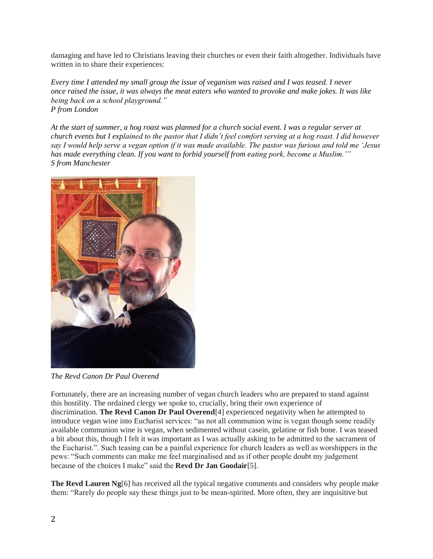damaging and have led to Christians leaving their churches or even their faith altogether. Individuals have written in to share their experiences:

*Every time I attended my small group the issue of veganism was raised and I was teased. I never once raised the issue, it was always the meat eaters who wanted to provoke and make jokes. It was like being back on a school playground." P from London*

*At the start of summer, a hog roast was planned for a church social event. I was a regular server at church events but I explained to the pastor that I didn't feel comfort serving at a hog roast. I did however say I would help serve a vegan option if it was made available. The pastor was furious and told me 'Jesus has made everything clean. If you want to forbid yourself from eating pork, become a Muslim.'" S from Manchester*



*The Revd Canon Dr Paul Overend*

Fortunately, there are an increasing number of vegan church leaders who are prepared to stand against this hostility. The ordained clergy we spoke to, crucially, bring their own experience of discrimination. **The Revd Canon Dr Paul Overend**[4] experienced negativity when he attempted to introduce vegan wine into Eucharist services: "as not all communion wine is vegan though some readily available communion wine is vegan, when sedimented without casein, gelatine or fish bone. I was teased a bit about this, though I felt it was important as I was actually asking to be admitted to the sacrament of the Eucharist.". Such teasing can be a painful experience for church leaders as well as worshippers in the pews: "Such comments can make me feel marginalised and as if other people doubt my judgement because of the choices I make" said the **Revd Dr Jan Goodair**[5].

**The Revd Lauren Ng**[6] has received all the typical negative comments and considers why people make them: "Rarely do people say these things just to be mean-spirited. More often, they are inquisitive but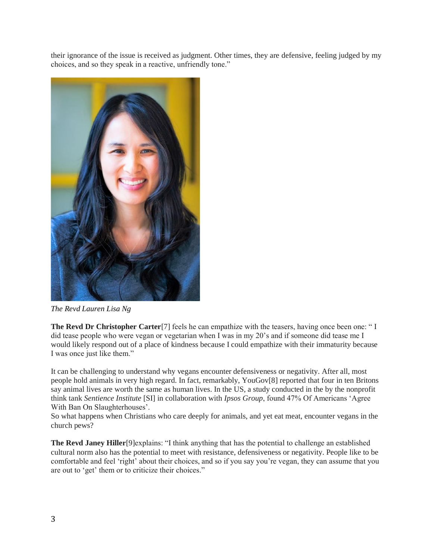their ignorance of the issue is received as judgment. Other times, they are defensive, feeling judged by my choices, and so they speak in a reactive, unfriendly tone."



*The Revd Lauren Lisa Ng*

**The Revd Dr Christopher Carter**[7] feels he can empathize with the teasers, having once been one: " I did tease people who were vegan or vegetarian when I was in my 20's and if someone did tease me I would likely respond out of a place of kindness because I could empathize with their immaturity because I was once just like them."

It can be challenging to understand why vegans encounter defensiveness or negativity. After all, most people hold animals in very high regard. In fact, remarkably, YouGov[8] reported that four in ten Britons say animal lives are worth the same as human lives. In the US, a study conducted in the by the nonprofit think tank *Sentience Institute* [SI] in collaboration with *Ipsos Group*, found 47% Of Americans 'Agree With Ban On Slaughterhouses'.

So what happens when Christians who care deeply for animals, and yet eat meat, encounter vegans in the church pews?

**The Revd Janey Hiller**[9]explains: "I think anything that has the potential to challenge an established cultural norm also has the potential to meet with resistance, defensiveness or negativity. People like to be comfortable and feel 'right' about their choices, and so if you say you're vegan, they can assume that you are out to 'get' them or to criticize their choices."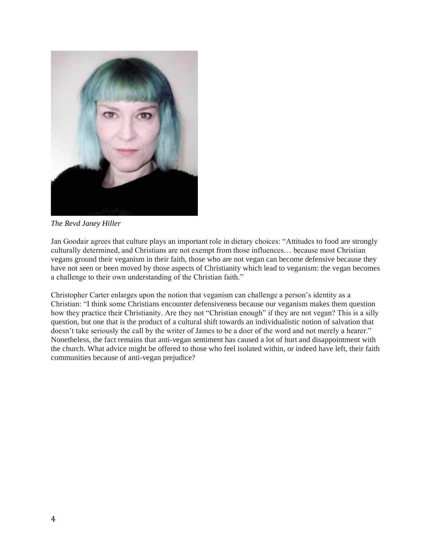

*The Revd Janey Hiller*

Jan Goodair agrees that culture plays an important role in dietary choices: "Attitudes to food are strongly culturally determined, and Christians are not exempt from those influences… because most Christian vegans ground their veganism in their faith, those who are not vegan can become defensive because they have not seen or been moved by those aspects of Christianity which lead to veganism: the vegan becomes a challenge to their own understanding of the Christian faith."

Christopher Carter enlarges upon the notion that veganism can challenge a person's identity as a Christian: "I think some Christians encounter defensiveness because our veganism makes them question how they practice their Christianity. Are they not "Christian enough" if they are not vegan? This is a silly question, but one that is the product of a cultural shift towards an individualistic notion of salvation that doesn't take seriously the call by the writer of James to be a doer of the word and not merely a hearer." Nonetheless, the fact remains that anti-vegan sentiment has caused a lot of hurt and disappointment with the church. What advice might be offered to those who feel isolated within, or indeed have left, their faith communities because of anti-vegan prejudice?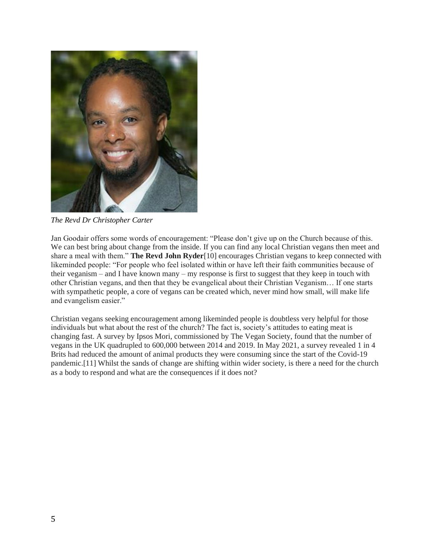

*The Revd Dr Christopher Carter*

Jan Goodair offers some words of encouragement: "Please don't give up on the Church because of this. We can best bring about change from the inside. If you can find any local Christian vegans then meet and share a meal with them." **The Revd John Ryder**[10] encourages Christian vegans to keep connected with likeminded people: "For people who feel isolated within or have left their faith communities because of their veganism – and I have known many – my response is first to suggest that they keep in touch with other Christian vegans, and then that they be evangelical about their Christian Veganism… If one starts with sympathetic people, a core of vegans can be created which, never mind how small, will make life and evangelism easier."

Christian vegans seeking encouragement among likeminded people is doubtless very helpful for those individuals but what about the rest of the church? The fact is, society's attitudes to eating meat is changing fast. A survey by Ipsos Mori, commissioned by The Vegan Society, found that the number of vegans in the UK quadrupled to 600,000 between 2014 and 2019. In May 2021, a survey revealed 1 in 4 Brits had reduced the amount of animal products they were consuming since the start of the Covid-19 pandemic.[11] Whilst the sands of change are shifting within wider society, is there a need for the church as a body to respond and what are the consequences if it does not?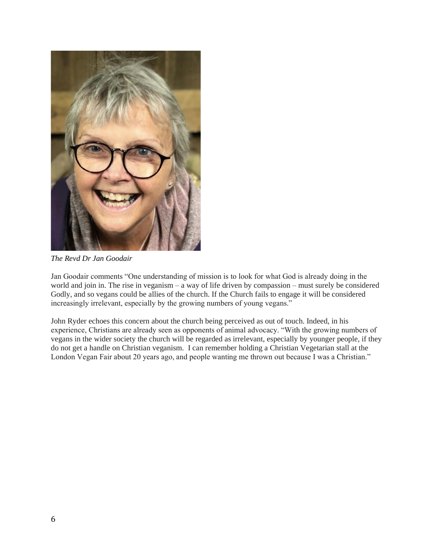

*The Revd Dr Jan Goodair*

Jan Goodair comments "One understanding of mission is to look for what God is already doing in the world and join in. The rise in veganism – a way of life driven by compassion – must surely be considered Godly, and so vegans could be allies of the church. If the Church fails to engage it will be considered increasingly irrelevant, especially by the growing numbers of young vegans."

John Ryder echoes this concern about the church being perceived as out of touch. Indeed, in his experience, Christians are already seen as opponents of animal advocacy. "With the growing numbers of vegans in the wider society the church will be regarded as irrelevant, especially by younger people, if they do not get a handle on Christian veganism. I can remember holding a Christian Vegetarian stall at the London Vegan Fair about 20 years ago, and people wanting me thrown out because I was a Christian."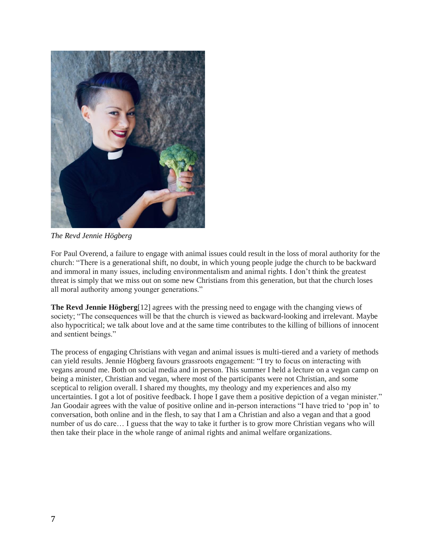

*The Revd Jennie Högberg*

For Paul Overend, a failure to engage with animal issues could result in the loss of moral authority for the church: "There is a generational shift, no doubt, in which young people judge the church to be backward and immoral in many issues, including environmentalism and animal rights. I don't think the greatest threat is simply that we miss out on some new Christians from this generation, but that the church loses all moral authority among younger generations."

**The Revd Jennie Högberg**[12] agrees with the pressing need to engage with the changing views of society; "The consequences will be that the church is viewed as backward-looking and irrelevant. Maybe also hypocritical; we talk about love and at the same time contributes to the killing of billions of innocent and sentient beings."

The process of engaging Christians with vegan and animal issues is multi-tiered and a variety of methods can yield results. Jennie Högberg favours grassroots engagement: "I try to focus on interacting with vegans around me. Both on social media and in person. This summer I held a lecture on a vegan camp on being a minister, Christian and vegan, where most of the participants were not Christian, and some sceptical to religion overall. I shared my thoughts, my theology and my experiences and also my uncertainties. I got a lot of positive feedback. I hope I gave them a positive depiction of a vegan minister." Jan Goodair agrees with the value of positive online and in-person interactions "I have tried to 'pop in' to conversation, both online and in the flesh, to say that I am a Christian and also a vegan and that a good number of us do care… I guess that the way to take it further is to grow more Christian vegans who will then take their place in the whole range of animal rights and animal welfare organizations.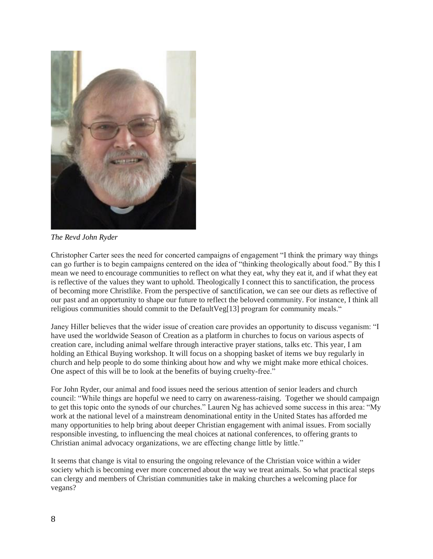

*The Revd John Ryder*

Christopher Carter sees the need for concerted campaigns of engagement "I think the primary way things can go further is to begin campaigns centered on the idea of "thinking theologically about food." By this I mean we need to encourage communities to reflect on what they eat, why they eat it, and if what they eat is reflective of the values they want to uphold. Theologically I connect this to sanctification, the process of becoming more Christlike. From the perspective of sanctification, we can see our diets as reflective of our past and an opportunity to shape our future to reflect the beloved community. For instance, I think all religious communities should commit to the DefaultVeg[13] program for community meals."

Janey Hiller believes that the wider issue of creation care provides an opportunity to discuss veganism: "I have used the worldwide Season of Creation as a platform in churches to focus on various aspects of creation care, including animal welfare through interactive prayer stations, talks etc. This year, I am holding an Ethical Buying workshop. It will focus on a shopping basket of items we buy regularly in church and help people to do some thinking about how and why we might make more ethical choices. One aspect of this will be to look at the benefits of buying cruelty-free."

For John Ryder, our animal and food issues need the serious attention of senior leaders and church council: "While things are hopeful we need to carry on awareness-raising. Together we should campaign to get this topic onto the synods of our churches." Lauren Ng has achieved some success in this area: "My work at the national level of a mainstream denominational entity in the United States has afforded me many opportunities to help bring about deeper Christian engagement with animal issues. From socially responsible investing, to influencing the meal choices at national conferences, to offering grants to Christian animal advocacy organizations, we are effecting change little by little."

It seems that change is vital to ensuring the ongoing relevance of the Christian voice within a wider society which is becoming ever more concerned about the way we treat animals. So what practical steps can clergy and members of Christian communities take in making churches a welcoming place for vegans?